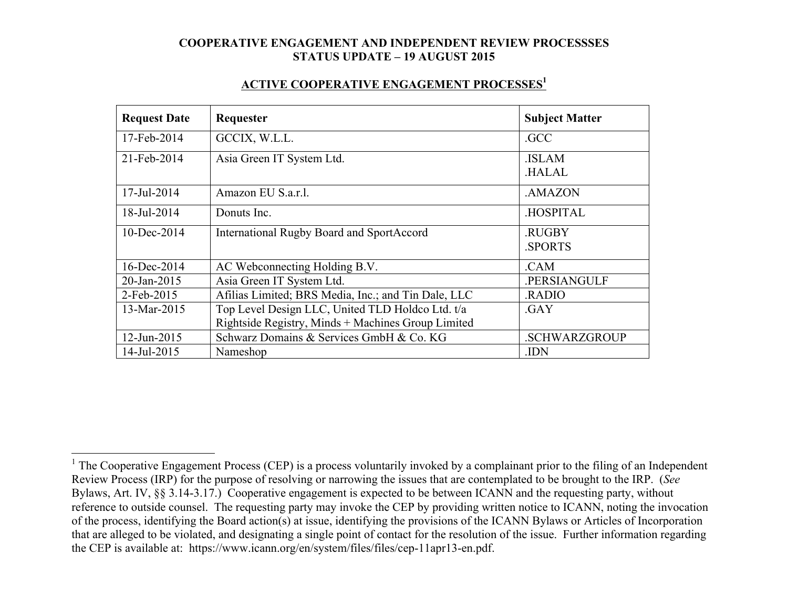#### **ACTIVE COOPERATIVE ENGAGEMENT PROCESSES1**

| <b>Request Date</b> | Requester                                           | <b>Subject Matter</b>         |
|---------------------|-----------------------------------------------------|-------------------------------|
| 17-Feb-2014         | GCCIX, W.L.L.                                       | .GCC                          |
| 21-Feb-2014         | Asia Green IT System Ltd.                           | <b>ISLAM</b><br><b>HALAL</b>  |
| 17-Jul-2014         | Amazon EU S.a.r.l.                                  | .AMAZON                       |
| 18-Jul-2014         | Donuts Inc.                                         | <b>HOSPITAL</b>               |
| $10$ -Dec-2014      | <b>International Rugby Board and SportAccord</b>    | <b>RUGBY</b><br><b>SPORTS</b> |
| 16-Dec-2014         | AC Webconnecting Holding B.V.                       | .CAM                          |
| 20-Jan-2015         | Asia Green IT System Ltd.                           | .PERSIANGULF                  |
| 2-Feb-2015          | Afilias Limited; BRS Media, Inc.; and Tin Dale, LLC | <b>RADIO</b>                  |
| 13-Mar-2015         | Top Level Design LLC, United TLD Holdco Ltd. t/a    | .GAY                          |
|                     | Rightside Registry, Minds + Machines Group Limited  |                               |
| 12-Jun-2015         | Schwarz Domains & Services GmbH & Co. KG            | <b>.SCHWARZGROUP</b>          |
| 14-Jul-2015         | Nameshop                                            | .IDN                          |

<sup>&</sup>lt;sup>1</sup> The Cooperative Engagement Process (CEP) is a process voluntarily invoked by a complainant prior to the filing of an Independent Review Process (IRP) for the purpose of resolving or narrowing the issues that are contemplated to be brought to the IRP. (*See* Bylaws, Art. IV, §§ 3.14-3.17.) Cooperative engagement is expected to be between ICANN and the requesting party, without reference to outside counsel. The requesting party may invoke the CEP by providing written notice to ICANN, noting the invocation of the process, identifying the Board action(s) at issue, identifying the provisions of the ICANN Bylaws or Articles of Incorporation that are alleged to be violated, and designating a single point of contact for the resolution of the issue. Further information regarding the CEP is available at: https://www.icann.org/en/system/files/files/cep-11apr13-en.pdf.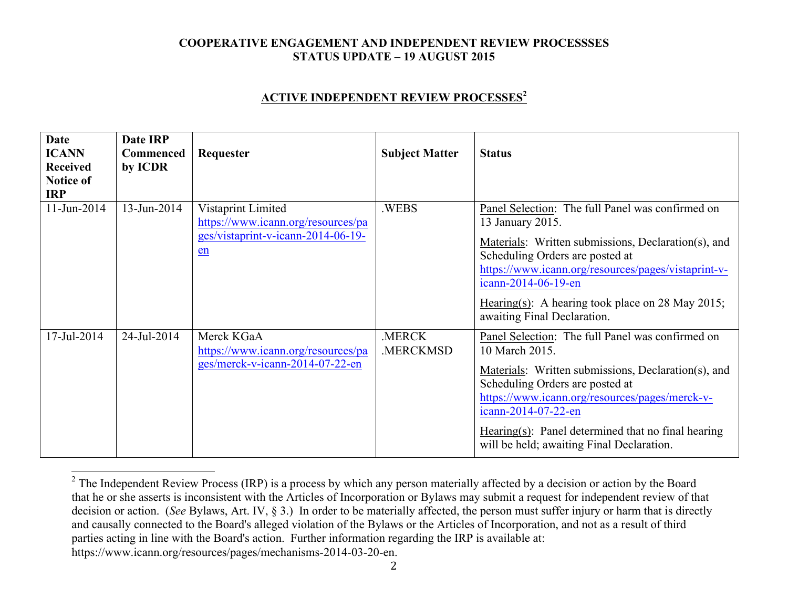### **ACTIVE INDEPENDENT REVIEW PROCESSES<sup>2</sup>**

| <b>Date</b><br><b>ICANN</b><br><b>Received</b><br><b>Notice of</b><br><b>IRP</b> | Date IRP<br><b>Commenced</b><br>by ICDR | Requester                                                                                            | <b>Subject Matter</b> | <b>Status</b>                                                                                                                                                                                                                                                                                                                            |
|----------------------------------------------------------------------------------|-----------------------------------------|------------------------------------------------------------------------------------------------------|-----------------------|------------------------------------------------------------------------------------------------------------------------------------------------------------------------------------------------------------------------------------------------------------------------------------------------------------------------------------------|
| 11-Jun-2014                                                                      | 13-Jun-2014                             | Vistaprint Limited<br>https://www.icann.org/resources/pa<br>ges/vistaprint-v-icann-2014-06-19-<br>en | .WEBS                 | Panel Selection: The full Panel was confirmed on<br>13 January 2015.<br>Materials: Written submissions, Declaration(s), and<br>Scheduling Orders are posted at<br>https://www.icann.org/resources/pages/vistaprint-v-<br>icann-2014-06-19-en<br>Hearing(s): A hearing took place on 28 May 2015;<br>awaiting Final Declaration.          |
| 17-Jul-2014                                                                      | 24-Jul-2014                             | Merck KGaA<br>https://www.icann.org/resources/pa<br>ges/merck-v-icann-2014-07-22-en                  | .MERCK<br>.MERCKMSD   | Panel Selection: The full Panel was confirmed on<br>10 March 2015.<br>Materials: Written submissions, Declaration(s), and<br>Scheduling Orders are posted at<br>https://www.icann.org/resources/pages/merck-v-<br>icann-2014-07-22-en<br>Hearing(s): Panel determined that no final hearing<br>will be held; awaiting Final Declaration. |

 $2$  The Independent Review Process (IRP) is a process by which any person materially affected by a decision or action by the Board that he or she asserts is inconsistent with the Articles of Incorporation or Bylaws may submit a request for independent review of that decision or action. (*See* Bylaws, Art. IV, § 3.) In order to be materially affected, the person must suffer injury or harm that is directly and causally connected to the Board's alleged violation of the Bylaws or the Articles of Incorporation, and not as a result of third parties acting in line with the Board's action. Further information regarding the IRP is available at: https://www.icann.org/resources/pages/mechanisms-2014-03-20-en.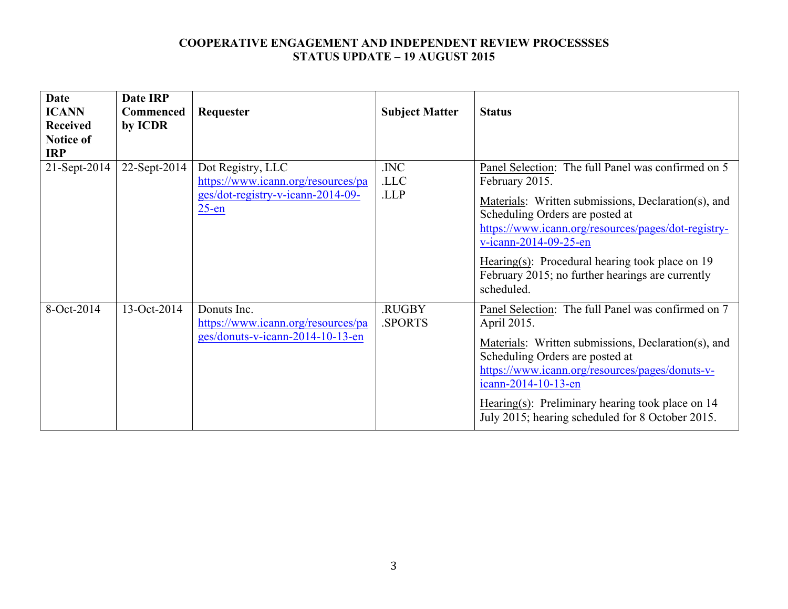| <b>Date</b><br><b>ICANN</b><br><b>Received</b><br><b>Notice of</b> | Date IRP<br><b>Commenced</b><br>by ICDR | Requester                                                                                                | <b>Subject Matter</b>   | <b>Status</b>                                                                                                                                                                                                                                                                                                                                                         |
|--------------------------------------------------------------------|-----------------------------------------|----------------------------------------------------------------------------------------------------------|-------------------------|-----------------------------------------------------------------------------------------------------------------------------------------------------------------------------------------------------------------------------------------------------------------------------------------------------------------------------------------------------------------------|
| <b>IRP</b><br>21-Sept-2014                                         | 22-Sept-2014                            | Dot Registry, LLC<br>https://www.icann.org/resources/pa<br>ges/dot-registry-v-icann-2014-09-<br>$25$ -en | .INC<br>.LLC<br>.LLP    | Panel Selection: The full Panel was confirmed on 5<br>February 2015.<br>Materials: Written submissions, Declaration(s), and<br>Scheduling Orders are posted at<br>https://www.icann.org/resources/pages/dot-registry-<br>v-icann-2014-09-25-en<br>Hearing(s): Procedural hearing took place on $19$<br>February 2015; no further hearings are currently<br>scheduled. |
| 8-Oct-2014                                                         | 13-Oct-2014                             | Donuts Inc.<br>https://www.icann.org/resources/pa<br>ges/donuts-v-icann-2014-10-13-en                    | .RUGBY<br><b>SPORTS</b> | Panel Selection: The full Panel was confirmed on 7<br>April 2015.<br>Materials: Written submissions, Declaration(s), and<br>Scheduling Orders are posted at<br>https://www.icann.org/resources/pages/donuts-v-<br>icann-2014-10-13-en<br>Hearing(s): Preliminary hearing took place on $14$<br>July 2015; hearing scheduled for 8 October 2015.                       |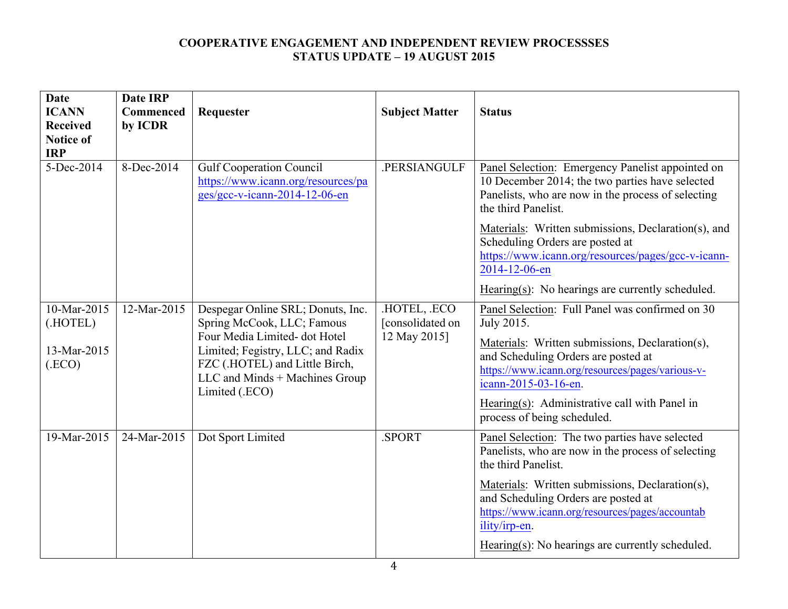| <b>Date</b><br><b>ICANN</b><br><b>Received</b><br><b>Notice of</b><br><b>IRP</b> | <b>Date IRP</b><br>Commenced<br>by ICDR | Requester                                                                                              | <b>Subject Matter</b>                          | <b>Status</b>                                                                                                                                                                    |
|----------------------------------------------------------------------------------|-----------------------------------------|--------------------------------------------------------------------------------------------------------|------------------------------------------------|----------------------------------------------------------------------------------------------------------------------------------------------------------------------------------|
| 5-Dec-2014                                                                       | 8-Dec-2014                              | <b>Gulf Cooperation Council</b><br>https://www.icann.org/resources/pa<br>ges/gcc-v-icann-2014-12-06-en | .PERSIANGULF                                   | Panel Selection: Emergency Panelist appointed on<br>10 December 2014; the two parties have selected<br>Panelists, who are now in the process of selecting<br>the third Panelist. |
|                                                                                  |                                         |                                                                                                        |                                                | Materials: Written submissions, Declaration(s), and<br>Scheduling Orders are posted at<br>https://www.icann.org/resources/pages/gcc-v-icann-<br>2014-12-06-en                    |
|                                                                                  |                                         |                                                                                                        |                                                | $Hearing(s)$ : No hearings are currently scheduled.                                                                                                                              |
| 10-Mar-2015<br>(.HOTEL)                                                          | 12-Mar-2015                             | Despegar Online SRL; Donuts, Inc.<br>Spring McCook, LLC; Famous<br>Four Media Limited- dot Hotel       | HOTEL, ECO<br>[consolidated on<br>12 May 2015] | Panel Selection: Full Panel was confirmed on 30<br>July 2015.                                                                                                                    |
| 13-Mar-2015<br>(ECO)                                                             |                                         | Limited; Fegistry, LLC; and Radix<br>FZC (.HOTEL) and Little Birch,<br>LLC and Minds + Machines Group  |                                                | Materials: Written submissions, Declaration(s),<br>and Scheduling Orders are posted at<br>https://www.icann.org/resources/pages/various-v-<br>icann-2015-03-16-en.               |
|                                                                                  |                                         | Limited (.ECO)                                                                                         |                                                | Hearing(s): Administrative call with Panel in<br>process of being scheduled.                                                                                                     |
| 19-Mar-2015                                                                      | 24-Mar-2015                             | Dot Sport Limited                                                                                      | .SPORT                                         | Panel Selection: The two parties have selected<br>Panelists, who are now in the process of selecting<br>the third Panelist.                                                      |
|                                                                                  |                                         |                                                                                                        |                                                | Materials: Written submissions, Declaration(s),<br>and Scheduling Orders are posted at<br>https://www.icann.org/resources/pages/accountab<br>ility/irp-en.                       |
|                                                                                  |                                         |                                                                                                        |                                                | Hearing $(s)$ : No hearings are currently scheduled.                                                                                                                             |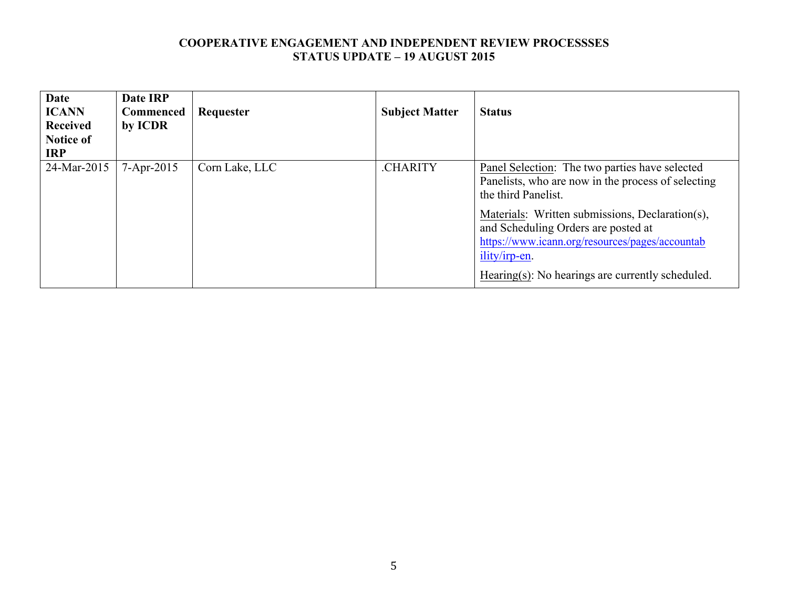| <b>Date</b><br><b>ICANN</b><br><b>Received</b><br><b>Notice of</b><br><b>IRP</b> | Date IRP<br><b>Commenced</b><br>by ICDR | Requester      | <b>Subject Matter</b> | <b>Status</b>                                                                                                                                                                                                                                                                                                                                        |
|----------------------------------------------------------------------------------|-----------------------------------------|----------------|-----------------------|------------------------------------------------------------------------------------------------------------------------------------------------------------------------------------------------------------------------------------------------------------------------------------------------------------------------------------------------------|
| 24-Mar-2015                                                                      | $7 - Apr - 2015$                        | Corn Lake, LLC | .CHARITY              | <b>Panel Selection:</b> The two parties have selected<br>Panelists, who are now in the process of selecting<br>the third Panelist.<br>Materials: Written submissions, Declaration(s),<br>and Scheduling Orders are posted at<br>https://www.icann.org/resources/pages/accountab<br>ility/irp-en.<br>Hearing(s): No hearings are currently scheduled. |